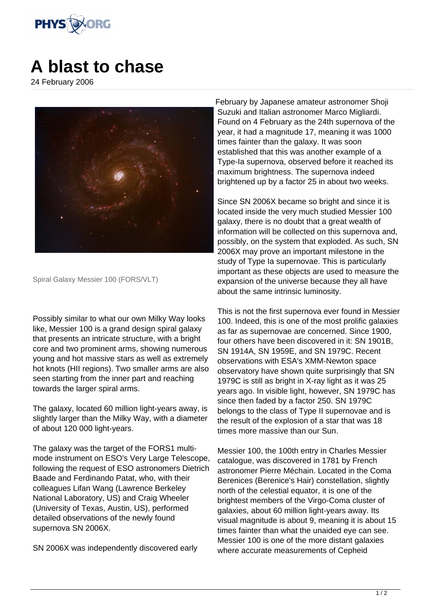

## **A blast to chase**

24 February 2006



Spiral Galaxy Messier 100 (FORS/VLT)

Possibly similar to what our own Milky Way looks like, Messier 100 is a grand design spiral galaxy that presents an intricate structure, with a bright core and two prominent arms, showing numerous young and hot massive stars as well as extremely hot knots (HII regions). Two smaller arms are also seen starting from the inner part and reaching towards the larger spiral arms.

The galaxy, located 60 million light-years away, is slightly larger than the Milky Way, with a diameter of about 120 000 light-years.

The galaxy was the target of the FORS1 multimode instrument on ESO's Very Large Telescope, following the request of ESO astronomers Dietrich Baade and Ferdinando Patat, who, with their colleagues Lifan Wang (Lawrence Berkeley National Laboratory, US) and Craig Wheeler (University of Texas, Austin, US), performed detailed observations of the newly found supernova SN 2006X.

SN 2006X was independently discovered early

February by Japanese amateur astronomer Shoji Suzuki and Italian astronomer Marco Migliardi. Found on 4 February as the 24th supernova of the year, it had a magnitude 17, meaning it was 1000 times fainter than the galaxy. It was soon established that this was another example of a Type-Ia supernova, observed before it reached its maximum brightness. The supernova indeed brightened up by a factor 25 in about two weeks.

Since SN 2006X became so bright and since it is located inside the very much studied Messier 100 galaxy, there is no doubt that a great wealth of information will be collected on this supernova and, possibly, on the system that exploded. As such, SN 2006X may prove an important milestone in the study of Type Ia supernovae. This is particularly important as these objects are used to measure the expansion of the universe because they all have about the same intrinsic luminosity.

This is not the first supernova ever found in Messier 100. Indeed, this is one of the most prolific galaxies as far as supernovae are concerned. Since 1900, four others have been discovered in it: SN 1901B, SN 1914A, SN 1959E, and SN 1979C. Recent observations with ESA's XMM-Newton space observatory have shown quite surprisingly that SN 1979C is still as bright in X-ray light as it was 25 years ago. In visible light, however, SN 1979C has since then faded by a factor 250. SN 1979C belongs to the class of Type II supernovae and is the result of the explosion of a star that was 18 times more massive than our Sun.

Messier 100, the 100th entry in Charles Messier catalogue, was discovered in 1781 by French astronomer Pierre Méchain. Located in the Coma Berenices (Berenice's Hair) constellation, slightly north of the celestial equator, it is one of the brightest members of the Virgo-Coma cluster of galaxies, about 60 million light-years away. Its visual magnitude is about 9, meaning it is about 15 times fainter than what the unaided eye can see. Messier 100 is one of the more distant galaxies where accurate measurements of Cepheid